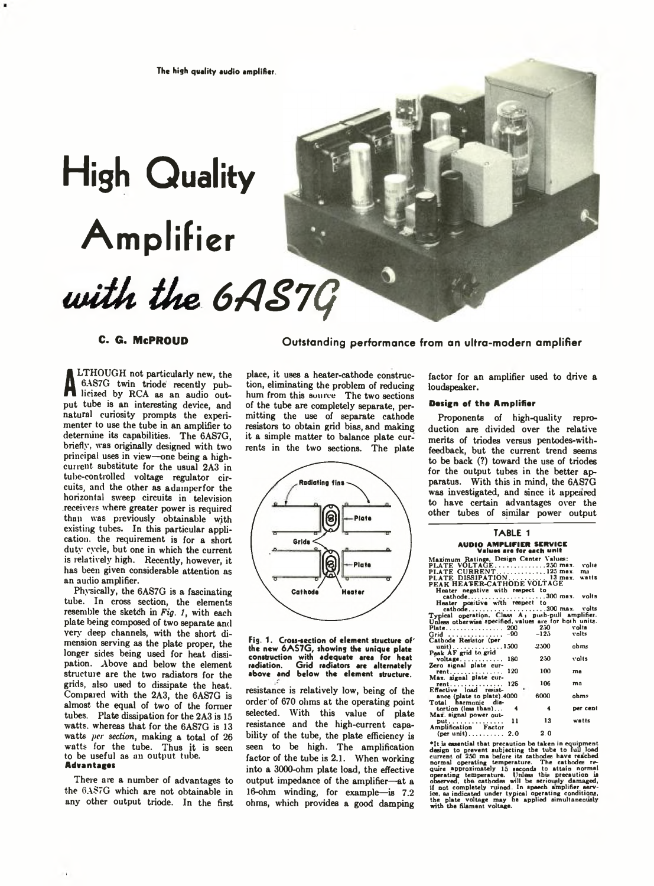# **High Quality Amplifier** with the 6AS7G

**A** licized by RCA as an audio out-LTHOUGH not particularly new, the 6AS7G twin triode recently pubput tube is an interesting device, and natural curiosity prompts the experimenter to use the tube in an amplifier to determine its capabilities. The 6AS7G, briefly, was originally designed with two principal uses in view—one being a highcurrent substitute for the usual 2A3 in tube-controlled voltage regulator circuits, and the other as adamperfor the horizontal sweep circuits in television .receivers where greater power is required than was previously obtainable with existing tubes. In this particular application, the requirement is for a short duty cycle, but one in which the current is relatively high. Recently, however, it has been given considerable attention as an audio amplifier.

Physically, the 6AS7G is a fascinating tube. In cross section, the elements resemble the sketch in *Fig. 1,* with each plate being composed of two separate and very deep channels, with the short dimension serving as the plate proper, the longer sides being used for heat dissipation. Above and below the element structure are the two radiators for the grids, also used to dissipate the heat. Compared with the 2A3, the 6AS7G is almost the equal of two of the former tubes. Plate dissipation for the 2A3 is 15 watts, whereas that for the 6AS7G is 13 watts *per section,* making a total of 26 watts for the tube. Thus it is seen to be useful as an output tube. Advantages

There are a number of advantages to the 6A\$7G which are not obtainable in any other output triode. In the first

**C. G. MePROUD Outstanding performance from an ultra-modern amplifier**

place, it uses a heater-cathode construction, eliminating the problem of reducing hum from this source The two sections of the tube are completely separate, permitting the use of separate cathode resistors to obtain grid bias, and making it a simple matter to balance plate currents in the two sections. The plate



Fig. 1. Crou-section of element structure of' the new 6 A S7 G , showing the unique plate construction with adequate area for heat radiation. Grid radiators are alternately above and below the element structure.

resistance is relatively low, being of the order of 670 ohms at the operating point selected. With this value of plate resistance and the high-current capability of the tube, the plate efficiency is seen to be high. The amplification factor of the tube is 2.1. When working into a 3000-ohm plate load, the effective output impedance of the amplifier—at a 16-ohm winding, for example-is  $7.2$ ohms, which provides a good damping

factor for an amplifier used to drive a loudspeaker.

### Design of the Amplifier

Proponents of high-quality reproduction are divided over the relative merits of triodes versus pentodes-withfeedback, but the current trend seems to be back (?) toward the use of triodes for the output tubes in the better apparatus. With this in mind, the 6AS7G was investigated, and since it appeared to have certain advantages over the other tubes of similar power output

# **TARLE 1** AUDIO AMPLIFIER SERVICE Values are for each unit

Maximum Ratings. Design Center Values: PLATE VOLTAGE............................. 250 max. volts PLATE CURRENT.............................125 max. nw PLATE DISSIPATION..................... 13 max. watts PEAK HEATER-CATHODE VOLTAGE Heater negative with respect to cathode............................................300 max. volts

| cathode300 max. volts                                        |    |           |          |
|--------------------------------------------------------------|----|-----------|----------|
| Heater positive with respect to                              |    |           |          |
| cathode300 max. volts                                        |    |           |          |
| Typical operation. Class A <sub>1</sub> push-pull amplifier. |    |           |          |
| Unless otherwise specified, values are for both units.       |    |           |          |
|                                                              |    |           |          |
|                                                              |    | 250 volta |          |
| Grid  -90 -123 volts                                         |    |           |          |
| Cathode Resistor (per                                        |    |           |          |
| unit)1500                                                    |    | -2500     | ohms     |
| Peak AF grid to grid                                         |    |           |          |
|                                                              |    | 250       | volts    |
| voltage $180$                                                |    |           |          |
| Zero signal plate cur-                                       |    |           |          |
| rent 120                                                     |    | 100       | ma       |
| Max. signal plate cur-                                       |    |           |          |
| rent 128                                                     |    | 106       | m۵       |
| Effective load resist-                                       |    |           |          |
| ance (plate to plate).4000                                   |    | 6000      | ohms     |
|                                                              |    |           |          |
| Total harmonic dis-                                          |    |           |          |
| tortion (less than)                                          |    |           | per cent |
| Max. signal power out-                                       |    |           |          |
| put.                                                         | 11 | 13        | watts    |
| Amplification Factor                                         |    |           |          |
|                                                              |    | 2.0       |          |
| $(per unit) \ldots \ldots \ldots 2.0$                        |    |           |          |

<sup>9</sup>It is essential that precaution be taken in equipment<br>design to prevent aubiccting the tube to full load<br>current of 250 ma before its cathodes have reached<br>quire approximately 15 seconds to attain normal<br>operating tempe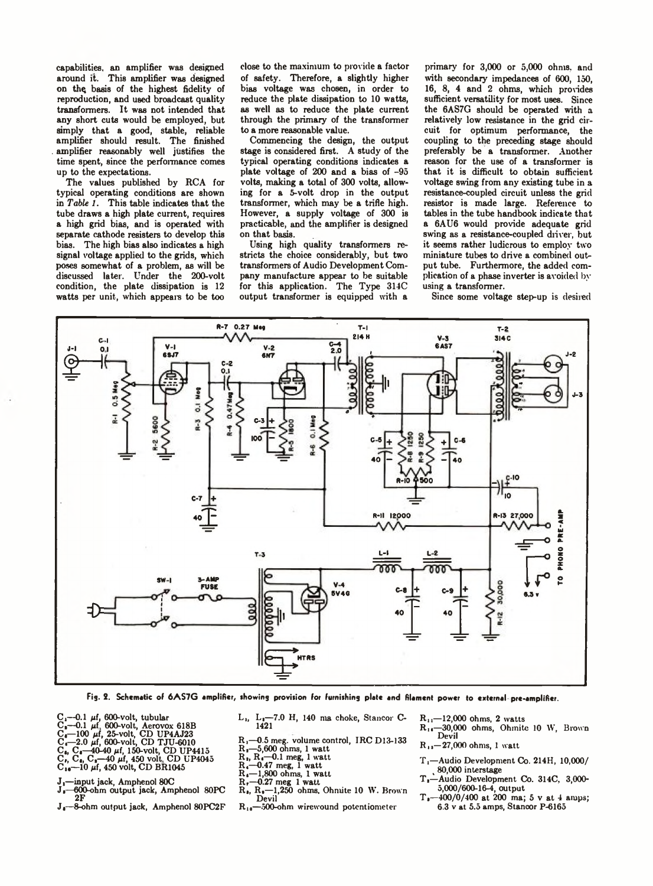capabilities, an amplifier was designed around it. This amplifier was designed on the basis of the highest fidelity of reproduction, and used broadcast quality transformers. It was not intended that any short cuts would be employed, but simply that a good, stable, reliable amplifier should result. The finished . amplifier reasonably well justifies the time spent, since the performance comes up to the expectations.

The values published by RCA for typical operating conditions are shown in *Table 1.* This table indicates that the tube draws a high plate current, requires a high grid bias, and is operated with separate cathode resisters to develop this bias. The high bias also indicates a high signal voltage applied to the grids, which poses somewhat of a problem, as will be discussed later. Under the 200-volt condition, the plate dissipation is 12 watts per unit, which appears to be too

close to the maximum to provide a factor of safety. Therefore, a slightly higher bias voltage was chosen, in order to reduce the plate dissipation to 10 watts, as well as to reduce the plate current through the primary of the transformer to a more reasonable value.

Commencing the design, the output stage is considered first. A study of the typical operating conditions indicates a plate voltage of 200 and a bias of -95 volts, making a total of 300 volts, allowing for a 5-volt drop in the output transformer, which may be a trifle high. However, a supply voltage of 300 is practicable, and the amplifier is designed on that basis.

Using high quality transformers restricts the choice considerably, but two transformers of Audio Development Company manufacture appear to be suitable for this application. The Type 314C output transformer is equipped with a

primary for 3,000 or 5,000 ohms, and with secondary impedances of 600, 150, 16, 8, 4 and 2 ohms, which provides sufficient versatility for most uses. Since the 6AS7G should be operated with a relatively low resistance in the grid circuit for optimum performance, the coupling to the preceding stage should preferably be a transformer. Another reason for the use of a transformer is that it is difficult to obtain sufficient voltage swing from any existing tube in a resistance-coupled circuit unless the grid resistor is made large. Reference to tables in the tube handbook indicate that a 6AU6 would provide adequate grid swing as a resistance-coupled driver, but it seems rather ludicrous to employ two miniature tubes to drive a combined output tube. Furthermore, the added complication of a phase inverter is avoided by using a transformer.

Since some voltage step-up is desired



Fig. 2. Schematic of 6AS7G amplifier, showing provision for furnishing plate and filament power to external pre-amplifier.

- 
- 
- 
- $C_1$ —0.1  $\mu f$ , 600-volt, tubular<br>C<sub>8</sub>—0.1  $\mu f$ , 600-volt, Aerovox 618B<br>C<sub>8</sub>—100  $\mu f$ , 25-volt, CD UP4AJ23<br>C<sub>6</sub>—2.0  $\mu f$ , 600-volt, CD UP4AJ23<br>C<sub>1</sub>, C<sub>4</sub>—40-40  $\mu f$ , 150-volt, CD UP4045<br>C<sub>19</sub>—10  $\mu f$ , 450 volt, CD B
- 
- 
- -input jack, Amphenol 80C
- Ji—600-ohm output jack, Amphenol 80PC 2F
- J<sub>4</sub>-8-ohm output jack, Amphenol 80PC2F
- L,, Li—7.0 H, 140 ma choke, Stancor C-1421
- 
- 
- 
- 
- 
- 
- R<sub>i</sub>, -0.5 meg. volume control, IRC D13-133<br>R<sub>i</sub>, R<sub>i</sub>, -0.01 mms, 1 watt<br>R<sub>i</sub>, R<sub>i</sub>, -0.1 meg, 1 watt<br>R<sub>i</sub>, -1,800 ohms, 1 watt<br>R<sub>i</sub>, -0.27 meg 1 watt<br>R<sub>i</sub>, R<sub>i</sub>, -1,250 ohms, Ohnite 10 W. Brown Devil
- $R_{10}$ —500-ohm wirewound potentiometer

 $R_{11}$ —12,000 ohms, 2 watts

- R<sub>14</sub>—30,000 ohms, Ohmite 10 W, Brown<br>Devil
- $R_{11}$  27,000 ohms, 1 watt
- T i—Audio Development Co. 214H, 10,000/ , 80,000 interstage
- -Audio Development Co. 314C, 3,000-5,000/600-16-4, output
- $T_1$ —400/0/400 at 200 ma; 5 v at 4 amps; 6.3 v at 5.5 amps, Stancor P-6165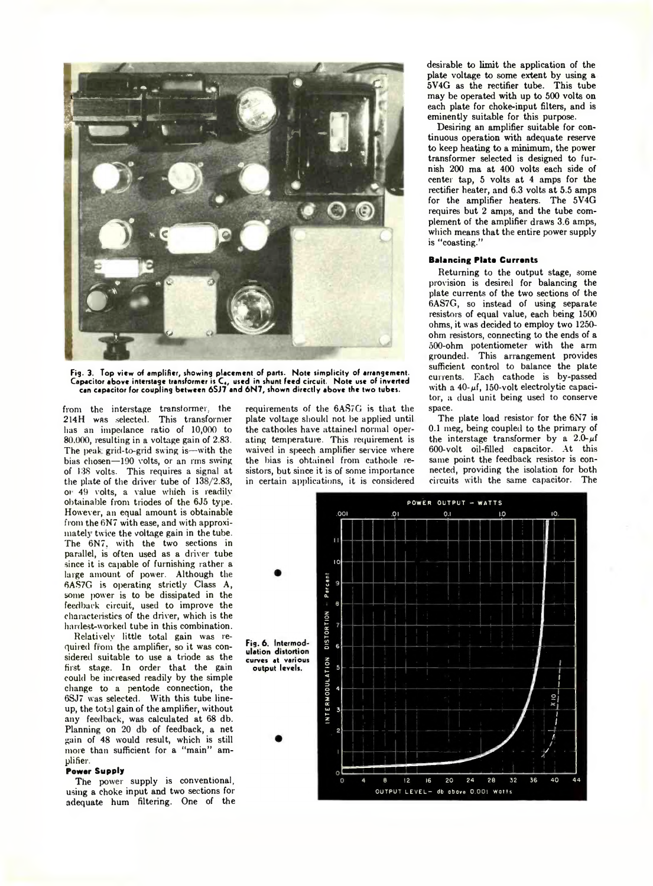

Fig. 3. Top view of amplifier, showing placement of parts. Note simplicity of arrangement. Capacitor above interstage transformer is C,, used in shunt feed circuit. Note use of inverted can capacitor for coupling between 6SJ7 and 6N7, shown directly above the two tubes.

from the interstage transformer, the 214H was selected. This transformer has an impedance ratio of 10,000 to 80,000, resulting in a voltage gain of 2.83. The peak grid-to-grid swing is—with the bias chosen— 190 volts, or an rms suing of 138 volts. This requires a signal at the plate of the driver tube of 138/2.83, oi 49 volts, a value which is readily obtainable from triodes of the 6J5 type. However, an equal amount is obtainable from the 6N7 with ease, and with approximately twice the voltage gain in the tube. The 6N7, with the two sections in parallel, is often used as a driver tube since it is capable of furnishing rather a large amount of power. Although the 6AS7G is operating strictly Class A, some power is to be dissipated in the feedback circuit, used to improve the characteristics of the driver, which is the hardest-worked tube in this combination.

Relatively little total gain was required from the amplifier, so it was considered suitable to use a triode as the first stage. In order that the gain could be increased readily by the simple change to a pentode connection, the 6SJ7 was selected. With this tube lineup, the total gain of the amplifier, without any feedback, was calculated at 68 db. Planning on 20 db of feedback, a net gain of 48 would result, which is still more than sufficient for a "main" amplifier.

### Power Supply

The power supply is conventional, using a choke input and two sections for adequate hum filtering. One of the

requirements of the 6AS7G is that the plate voltage should not be applied until the cathodes have attained normal operating temperature. This requirement is waived in speech amplifier service where the bias is obtained from cathode resistors, but since it is of some importance in certain applications, it is considered desirable to limit the application of the plate voltage to some extent by using a 5V4G as the rectifier tube. This tube may be operated with up to 500 volts on each plate for choke-input filters, and is eminently suitable for this purpose.

Desiring an amplifier suitable for continuous operation with adequate reserve to keep heating to a minimum, the power transformer selected is designed to furnish 200 ma at 400 volts each side of center tap, 5 volts at 4 amps for the rectifier heater, and 6.3 volts at 5.5 amps for the amplifier heaters. The 5V4G requires but 2 amps, and the tube complement of the amplifier draws 3.6 amps, which means that the entire power supply is "coasting."

## **Balancing Plate Currents**

Returning to the output stage, some provision is desired for balancing the plate currents of the two sections of the 6AS7G, so instead of using separate resistors of equal value, each being 1500 ohms, it was decided to employ two 1250 ohm resistors, connecting to the ends of a 500-ohm potentiometer with the arm grounded. This arrangement provides sufficient control to balance the plate currents. Each cathode is by-passed with a  $40 - \mu f$ , 150-volt electrolytic capacitor, a dual unit being used to conserve space.

The plate load resistor for the 6N7 is 0.1 meg, being coupled to the primary of the interstage transformer by a  $2.0-\mu f$ 600-volt oil-filled capacitor. At this same point the feedback resistor is connected, providing the isolation for both circuits with the same capacitor. The